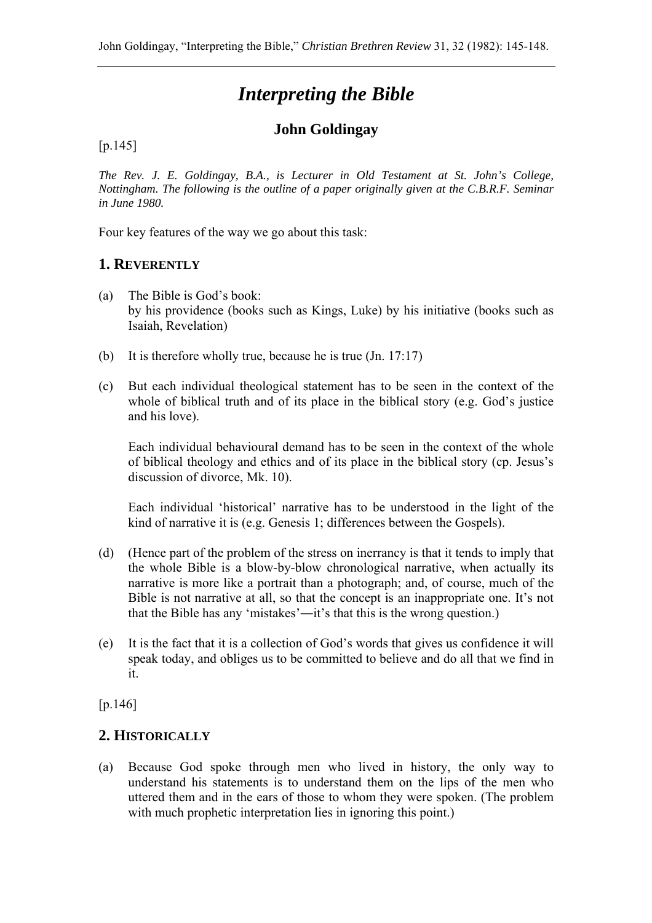# *Interpreting the Bible*

# **John Goldingay**

#### [p.145]

*The Rev. J. E. Goldingay, B.A., is Lecturer in Old Testament at St. John's College, Nottingham. The following is the outline of a paper originally given at the C.B.R.F. Seminar in June 1980.* 

Four key features of the way we go about this task:

#### **1. REVERENTLY**

- (a) The Bible is God's book: by his providence (books such as Kings, Luke) by his initiative (books such as Isaiah, Revelation)
- (b) It is therefore wholly true, because he is true (Jn. 17:17)
- (c) But each individual theological statement has to be seen in the context of the whole of biblical truth and of its place in the biblical story (e.g. God's justice and his love).

Each individual behavioural demand has to be seen in the context of the whole of biblical theology and ethics and of its place in the biblical story (cp. Jesus's discussion of divorce, Mk. 10).

Each individual 'historical' narrative has to be understood in the light of the kind of narrative it is (e.g. Genesis 1; differences between the Gospels).

- (d) (Hence part of the problem of the stress on inerrancy is that it tends to imply that the whole Bible is a blow-by-blow chronological narrative, when actually its narrative is more like a portrait than a photograph; and, of course, much of the Bible is not narrative at all, so that the concept is an inappropriate one. It's not that the Bible has any 'mistakes'―it's that this is the wrong question.)
- (e) It is the fact that it is a collection of God's words that gives us confidence it will speak today, and obliges us to be committed to believe and do all that we find in it.

[p.146]

#### **2. HISTORICALLY**

(a) Because God spoke through men who lived in history, the only way to understand his statements is to understand them on the lips of the men who uttered them and in the ears of those to whom they were spoken. (The problem with much prophetic interpretation lies in ignoring this point.)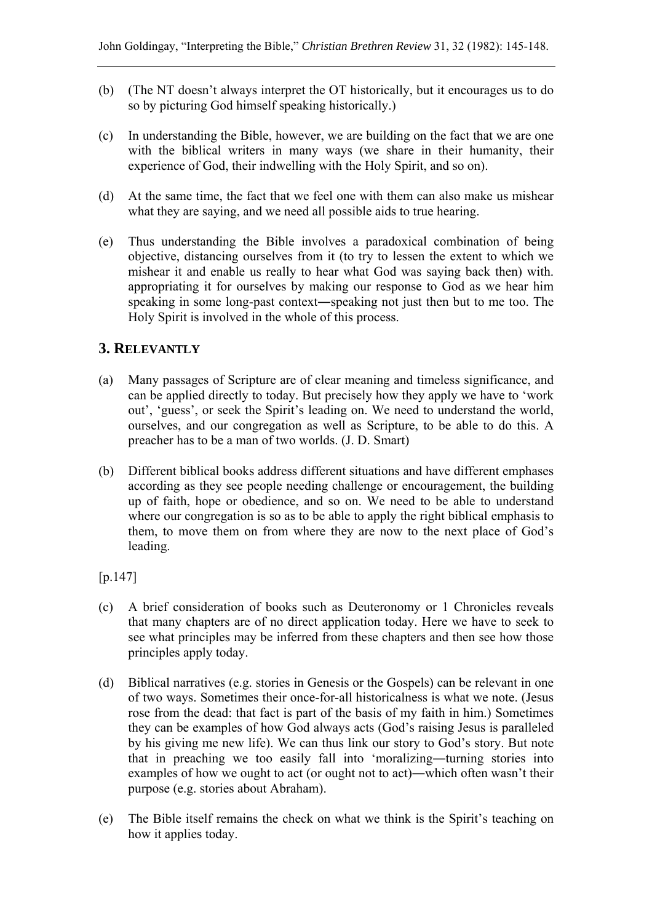- (b) (The NT doesn't always interpret the OT historically, but it encourages us to do so by picturing God himself speaking historically.)
- (c) In understanding the Bible, however, we are building on the fact that we are one with the biblical writers in many ways (we share in their humanity, their experience of God, their indwelling with the Holy Spirit, and so on).
- (d) At the same time, the fact that we feel one with them can also make us mishear what they are saying, and we need all possible aids to true hearing.
- (e) Thus understanding the Bible involves a paradoxical combination of being objective, distancing ourselves from it (to try to lessen the extent to which we mishear it and enable us really to hear what God was saying back then) with. appropriating it for ourselves by making our response to God as we hear him speaking in some long-past context―speaking not just then but to me too. The Holy Spirit is involved in the whole of this process.

### **3. RELEVANTLY**

- (a) Many passages of Scripture are of clear meaning and timeless significance, and can be applied directly to today. But precisely how they apply we have to 'work out', 'guess', or seek the Spirit's leading on. We need to understand the world, ourselves, and our congregation as well as Scripture, to be able to do this. A preacher has to be a man of two worlds. (J. D. Smart)
- (b) Different biblical books address different situations and have different emphases according as they see people needing challenge or encouragement, the building up of faith, hope or obedience, and so on. We need to be able to understand where our congregation is so as to be able to apply the right biblical emphasis to them, to move them on from where they are now to the next place of God's leading.

[p.147]

- (c) A brief consideration of books such as Deuteronomy or 1 Chronicles reveals that many chapters are of no direct application today. Here we have to seek to see what principles may be inferred from these chapters and then see how those principles apply today.
- (d) Biblical narratives (e.g. stories in Genesis or the Gospels) can be relevant in one of two ways. Sometimes their once-for-all historicalness is what we note. (Jesus rose from the dead: that fact is part of the basis of my faith in him.) Sometimes they can be examples of how God always acts (God's raising Jesus is paralleled by his giving me new life). We can thus link our story to God's story. But note that in preaching we too easily fall into 'moralizing―turning stories into examples of how we ought to act (or ought not to act)―which often wasn't their purpose (e.g. stories about Abraham).
- (e) The Bible itself remains the check on what we think is the Spirit's teaching on how it applies today.